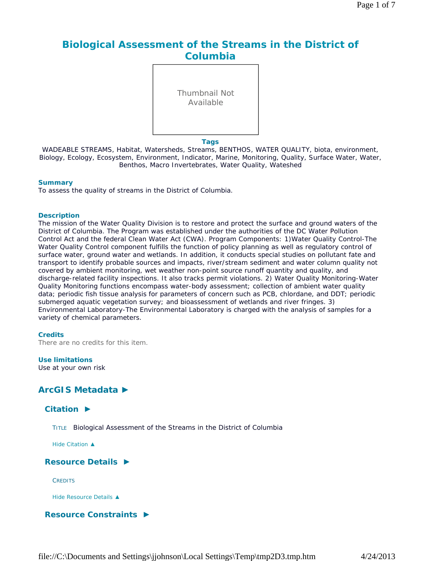# **Biological Assessment of the Streams in the District of Columbia**

Thumbnail Not Available

**Tags**

WADEABLE STREAMS, Habitat, Watersheds, Streams, BENTHOS, WATER QUALITY, biota, environment, Biology, Ecology, Ecosystem, Environment, Indicator, Marine, Monitoring, Quality, Surface Water, Water, Benthos, Macro Invertebrates, Water Quality, Wateshed

#### **Summary**

To assess the quality of streams in the District of Columbia.

#### **Description**

The mission of the Water Quality Division is to restore and protect the surface and ground waters of the District of Columbia. The Program was established under the authorities of the DC Water Pollution Control Act and the federal Clean Water Act (CWA). Program Components: 1)Water Quality Control-The Water Quality Control component fulfills the function of policy planning as well as regulatory control of surface water, ground water and wetlands. In addition, it conducts special studies on pollutant fate and transport to identify probable sources and impacts, river/stream sediment and water column quality not covered by ambient monitoring, wet weather non-point source runoff quantity and quality, and discharge-related facility inspections. It also tracks permit violations. 2) Water Quality Monitoring-Water Quality Monitoring functions encompass water-body assessment; collection of ambient water quality data; periodic fish tissue analysis for parameters of concern such as PCB, chlordane, and DDT; periodic submerged aquatic vegetation survey; and bioassessment of wetlands and river fringes. 3) Environmental Laboratory-The Environmental Laboratory is charged with the analysis of samples for a variety of chemical parameters.

#### **Credits**

There are no credits for this item.

#### **Use limitations**

Use at your own risk

## **ArcGIS Metadata ►**

## **Citation ►**

TITLE Biological Assessment of the Streams in the District of Columbia

*Hide Citation ▲*

### **Resource Details ►**

**CREDITS** 

*Hide Resource Details ▲*

**Resource Constraints ►**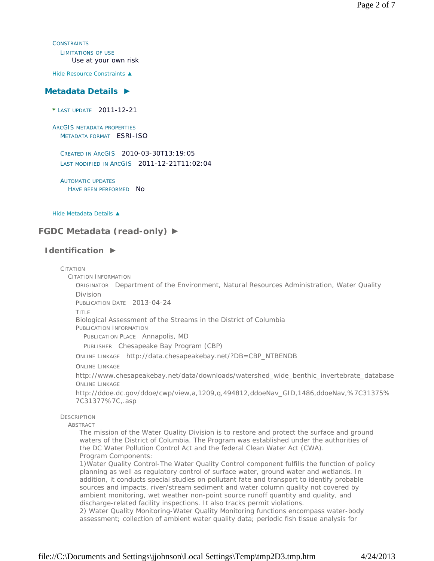**CONSTRAINTS** LIMITATIONS OF USE Use at your own risk

*Hide Resource Constraints ▲*

### **Metadata Details ►**

**\*** LAST UPDATE 2011-12-21

ARCGIS METADATA PROPERTIES METADATA FORMAT ESRI-ISO

CREATED IN ARCGIS 2010-03-30T13:19:05 LAST MODIFIED IN ARCGIS 2011-12-21T11:02:04

AUTOMATIC UPDATES HAVE BEEN PERFORMED NO

*Hide Metadata Details ▲*

## **FGDC Metadata (read-only) ►**

### **Identification ►**

#### CITATION

CITATION INFORMATION

ORIGINATOR Department of the Environment, Natural Resources Administration, Water Quality Division

PUBLICATION DATE 2013-04-24

TITLE

Biological Assessment of the Streams in the District of Columbia

PUBLICATION INFORMATION

PUBLICATION PLACE Annapolis, MD

PUBLISHER Chesapeake Bay Program (CBP)

ONLINE LINKAGE http://data.chesapeakebay.net/?DB=CBP\_NTBENDB

ONLINE LINKAGE

http://www.chesapeakebay.net/data/downloads/watershed\_wide\_benthic\_invertebrate\_database ONLINE LINKAGE

http://ddoe.dc.gov/ddoe/cwp/view,a,1209,q,494812,ddoeNav\_GID,1486,ddoeNav,%7C31375% 7C31377%7C,.asp

**DESCRIPTION** 

ABSTRACT

The mission of the Water Quality Division is to restore and protect the surface and ground waters of the District of Columbia. The Program was established under the authorities of the DC Water Pollution Control Act and the federal Clean Water Act (CWA). Program Components:

1)Water Quality Control-The Water Quality Control component fulfills the function of policy planning as well as regulatory control of surface water, ground water and wetlands. In addition, it conducts special studies on pollutant fate and transport to identify probable sources and impacts, river/stream sediment and water column quality not covered by ambient monitoring, wet weather non-point source runoff quantity and quality, and discharge-related facility inspections. It also tracks permit violations.

2) Water Quality Monitoring-Water Quality Monitoring functions encompass water-body assessment; collection of ambient water quality data; periodic fish tissue analysis for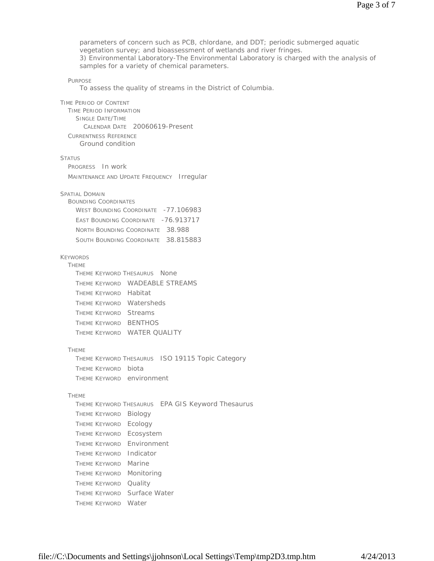PURPOSE TIME PERIOD OF CONTENT TIME PERIOD INFORMATION SINGLE DATE/TIME CALENDAR DATE 20060619-Present CURRENTNESS REFERENCE **STATUS** PROGRESS In work MAINTENANCE AND UPDATE FREQUENCY Irregular SPATIAL DOMAIN BOUNDING COORDINATES WEST BOUNDING COORDINATE -77.106983 EAST BOUNDING COORDINATE -76.913717 NORTH BOUNDING COORDINATE 38.988 SOUTH BOUNDING COORDINATE 38.815883 KEYWORDS **THEME** THEME KEYWORD THESAURUS None THEME KEYWORD WADEABLE STREAMS THEME KEYWORD Habitat THEME KEYWORD Watersheds THEME KEYWORD Streams THEME KEYWORD BENTHOS THEME KEYWORD WATER QUALITY THEME THEME KEYWORD THESAURUS ISO 19115 Topic Category THEME KEYWORD biota THEME KEYWORD environment **THEME** THEME KEYWORD THESAURUS EPA GIS Keyword Thesaurus THEME KEYWORD Biology THEME KEYWORD Ecology THEME KEYWORD Ecosystem THEME KEYWORD Environment THEME KEYWORD Indicator THEME KEYWORD Marine THEME KEYWORD Monitoring THEME KEYWORD Quality THEME KEYWORD Surface Water THEME KEYWORD Water parameters of concern such as PCB, chlordane, and DDT; periodic submerged aquatic vegetation survey; and bioassessment of wetlands and river fringes. 3) Environmental Laboratory-The Environmental Laboratory is charged with the analysis of samples for a variety of chemical parameters. To assess the quality of streams in the District of Columbia. Ground condition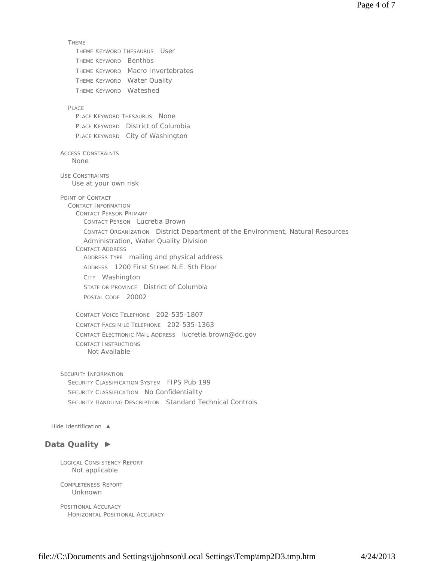**THEME** THEME KEYWORD THESAURUS User THEME KEYWORD Benthos THEME KEYWORD Macro Invertebrates THEME KEYWORD Water Quality THEME KEYWORD Wateshed PLACE PLACE KEYWORD THESAURUS None PLACE KEYWORD District of Columbia PLACE KEYWORD City of Washington ACCESS CONSTRAINTS USE CONSTRAINTS POINT OF CONTACT CONTACT INFORMATION CONTACT PERSON PRIMARY CONTACT PERSON Lucretia Brown CONTACT ORGANIZATION District Department of the Environment, Natural Resources Administration, Water Quality Division CONTACT ADDRESS ADDRESS TYPE mailing and physical address ADDRESS 1200 First Street N.E. 5th Floor CITY Washington STATE OR PROVINCE District of Columbia POSTAL CODE 20002 CONTACT VOICE TELEPHONE 202-535-1807 CONTACT FACSIMILE TELEPHONE 202-535-1363 CONTACT ELECTRONIC MAIL ADDRESS lucretia.brown@dc.gov CONTACT INSTRUCTIONS SECURITY INFORMATION SECURITY CLASSIFICATION SYSTEM FIPS Pub 199 SECURITY CLASSIFICATION No Confidentiality SECURITY HANDLING DESCRIPTION Standard Technical Controls *Hide Identification ▲* **Data Quality ►** None Use at your own risk Not Available

LOGICAL CONSISTENCY REPORT Not applicable

COMPLETENESS REPORT Unknown

POSITIONAL ACCURACY HORIZONTAL POSITIONAL ACCURACY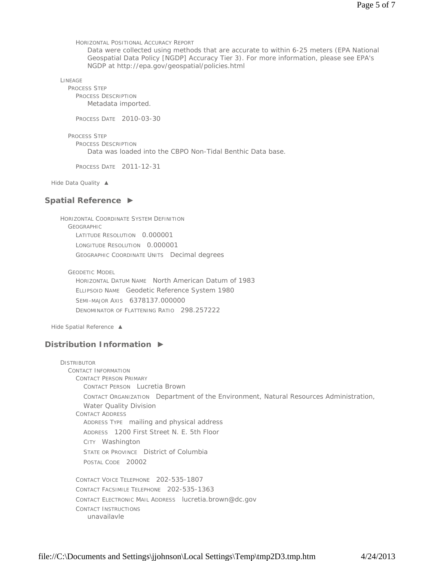HORIZONTAL POSITIONAL ACCURACY REPORT

Data were collected using methods that are accurate to within 6-25 meters (EPA National Geospatial Data Policy [NGDP] Accuracy Tier 3). For more information, please see EPA's NGDP at http://epa.gov/geospatial/policies.html

LINEAGE

PROCESS STEP PROCESS DESCRIPTION Metadata imported.

PROCESS DATE 2010-03-30

PROCESS STEP PROCESS DESCRIPTION Data was loaded into the CBPO Non-Tidal Benthic Data base.

PROCESS DATE 2011-12-31

*Hide Data Quality ▲*

## **Spatial Reference ►**

HORIZONTAL COORDINATE SYSTEM DEFINITION **GEOGRAPHIC** LATITUDE RESOLUTION 0.000001 LONGITUDE RESOLUTION 0.000001 GEOGRAPHIC COORDINATE UNITS Decimal degrees

GEODETIC MODEL HORIZONTAL DATUM NAME North American Datum of 1983 ELLIPSOID NAME Geodetic Reference System 1980 SEMI-MAJOR AXIS 6378137.000000 DENOMINATOR OF FLATTENING RATIO 298.257222

*Hide Spatial Reference ▲*

## **Distribution Information ►**

DISTRIBUTOR CONTACT INFORMATION CONTACT PERSON PRIMARY CONTACT PERSON Lucretia Brown CONTACT ORGANIZATION Department of the Environment, Natural Resources Administration, Water Quality Division CONTACT ADDRESS ADDRESS TYPE mailing and physical address ADDRESS 1200 First Street N. E. 5th Floor CITY Washington STATE OR PROVINCE District of Columbia POSTAL CODE 20002 CONTACT VOICE TELEPHONE 202-535-1807 CONTACT FACSIMILE TELEPHONE 202-535-1363 CONTACT ELECTRONIC MAIL ADDRESS lucretia.brown@dc.gov CONTACT INSTRUCTIONS unavailavle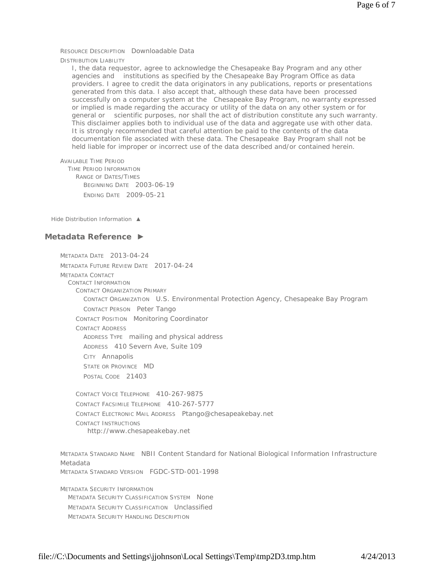RESOURCE DESCRIPTION Downloadable Data

DISTRIBUTION LIABILITY

I, the data requestor, agree to acknowledge the Chesapeake Bay Program and any other agencies and institutions as specified by the Chesapeake Bay Program Office as data providers. I agree to credit the data originators in any publications, reports or presentations generated from this data. I also accept that, although these data have been processed successfully on a computer system at the Chesapeake Bay Program, no warranty expressed or implied is made regarding the accuracy or utility of the data on any other system or for general or scientific purposes, nor shall the act of distribution constitute any such warranty. This disclaimer applies both to individual use of the data and aggregate use with other data. It is strongly recommended that careful attention be paid to the contents of the data documentation file associated with these data. The Chesapeake Bay Program shall not be held liable for improper or incorrect use of the data described and/or contained herein.

AVAILABLE TIME PERIOD TIME PERIOD INFORMATION RANGE OF DATES/TIMES BEGINNING DATE 2003-06-19 ENDING DATE 2009-05-21

*Hide Distribution Information ▲*

### **Metadata Reference ►**

METADATA DATE 2013-04-24 METADATA FUTURE REVIEW DATE 2017-04-24 METADATA CONTACT CONTACT INFORMATION CONTACT ORGANIZATION PRIMARY CONTACT ORGANIZATION U.S. Environmental Protection Agency, Chesapeake Bay Program CONTACT PERSON Peter Tango CONTACT POSITION Monitoring Coordinator CONTACT ADDRESS ADDRESS TYPE mailing and physical address ADDRESS 410 Severn Ave, Suite 109 CITY Annapolis STATE OR PROVINCE MD POSTAL CODE 21403 CONTACT VOICE TELEPHONE 410-267-9875

CONTACT FACSIMILE TELEPHONE 410-267-5777 CONTACT ELECTRONIC MAIL ADDRESS Ptango@chesapeakebay.net CONTACT INSTRUCTIONS http://www.chesapeakebay.net

METADATA STANDARD NAME NBII Content Standard for National Biological Information Infrastructure Metadata METADATA STANDARD VERSION FGDC-STD-001-1998

METADATA SECURITY INFORMATION METADATA SECURITY CLASSIFICATION SYSTEM None METADATA SECURITY CLASSIFICATION Unclassified METADATA SECURITY HANDLING DESCRIPTION